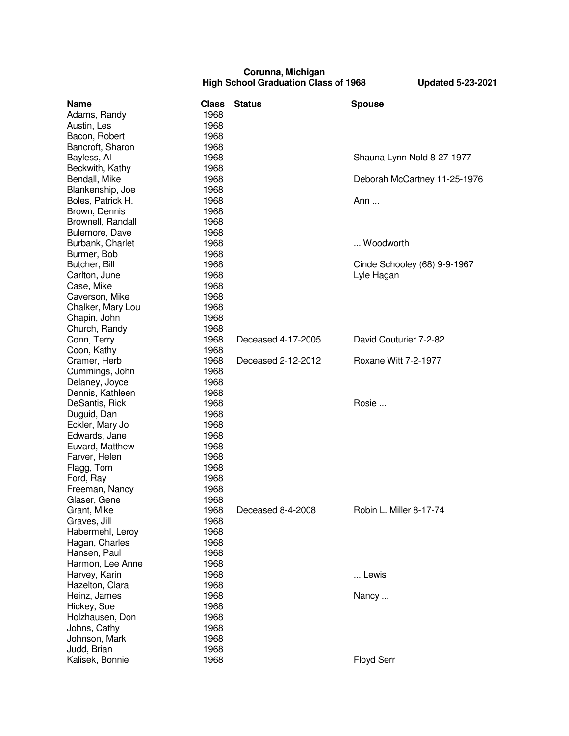## **Corunna, Michigan High School Graduation Class of 1968 Updated 5-23-2021**

| <b>Name</b>       | <b>Class</b> | <b>Status</b>      | <b>Spouse</b>                |
|-------------------|--------------|--------------------|------------------------------|
| Adams, Randy      | 1968         |                    |                              |
| Austin, Les       | 1968         |                    |                              |
| Bacon, Robert     | 1968         |                    |                              |
| Bancroft, Sharon  | 1968         |                    |                              |
| Bayless, Al       | 1968         |                    | Shauna Lynn Nold 8-27-1977   |
| Beckwith, Kathy   | 1968         |                    |                              |
| Bendall, Mike     | 1968         |                    | Deborah McCartney 11-25-1976 |
| Blankenship, Joe  | 1968         |                    |                              |
| Boles, Patrick H. | 1968         |                    | Ann                          |
| Brown, Dennis     | 1968         |                    |                              |
| Brownell, Randall | 1968         |                    |                              |
| Bulemore, Dave    | 1968         |                    |                              |
| Burbank, Charlet  | 1968         |                    | Woodworth                    |
| Burmer, Bob       | 1968         |                    |                              |
| Butcher, Bill     | 1968         |                    | Cinde Schooley (68) 9-9-1967 |
| Carlton, June     | 1968         |                    | Lyle Hagan                   |
| Case, Mike        | 1968         |                    |                              |
| Caverson, Mike    | 1968         |                    |                              |
| Chalker, Mary Lou | 1968         |                    |                              |
| Chapin, John      | 1968         |                    |                              |
| Church, Randy     | 1968         |                    |                              |
| Conn, Terry       | 1968         | Deceased 4-17-2005 | David Couturier 7-2-82       |
| Coon, Kathy       | 1968         |                    |                              |
| Cramer, Herb      | 1968         | Deceased 2-12-2012 | Roxane Witt 7-2-1977         |
| Cummings, John    | 1968         |                    |                              |
| Delaney, Joyce    | 1968         |                    |                              |
| Dennis, Kathleen  | 1968         |                    |                              |
| DeSantis, Rick    | 1968         |                    | Rosie                        |
| Duguid, Dan       | 1968         |                    |                              |
| Eckler, Mary Jo   | 1968         |                    |                              |
| Edwards, Jane     | 1968         |                    |                              |
| Euvard, Matthew   | 1968         |                    |                              |
| Farver, Helen     | 1968         |                    |                              |
| Flagg, Tom        | 1968         |                    |                              |
| Ford, Ray         | 1968         |                    |                              |
| Freeman, Nancy    | 1968         |                    |                              |
| Glaser, Gene      | 1968         |                    |                              |
| Grant, Mike       | 1968         | Deceased 8-4-2008  | Robin L. Miller 8-17-74      |
| Graves, Jill      | 1968         |                    |                              |
| Habermehl, Leroy  | 1968         |                    |                              |
| Hagan, Charles    | 1968         |                    |                              |
| Hansen, Paul      | 1968         |                    |                              |
| Harmon, Lee Anne  | 1968         |                    |                              |
| Harvey, Karin     | 1968         |                    | Lewis                        |
| Hazelton, Clara   | 1968         |                    |                              |
| Heinz, James      | 1968         |                    | Nancy                        |
| Hickey, Sue       | 1968         |                    |                              |
| Holzhausen, Don   | 1968         |                    |                              |
| Johns, Cathy      | 1968         |                    |                              |
| Johnson, Mark     | 1968         |                    |                              |
| Judd, Brian       | 1968         |                    |                              |
| Kalisek, Bonnie   | 1968         |                    | Floyd Serr                   |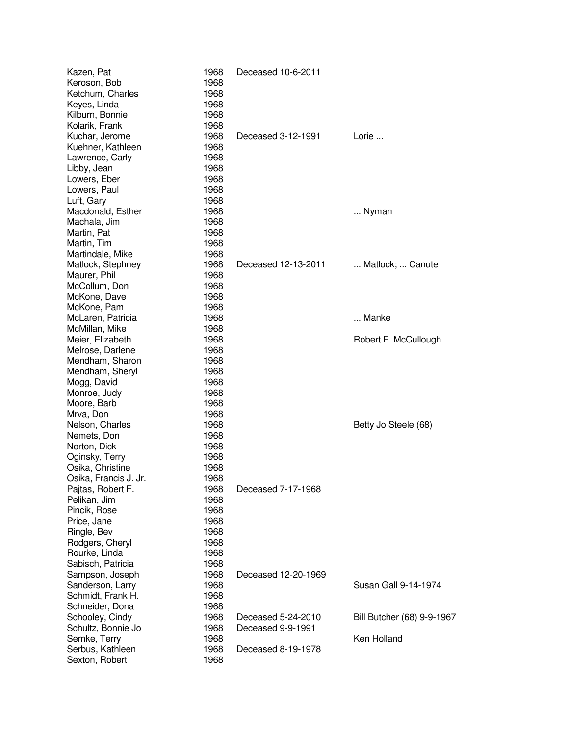| Kazen, Pat<br>Keroson, Bob<br>Ketchum, Charles<br>Keyes, Linda | 1968<br>1968<br>1968<br>1968<br>1968 | Deceased 10-6-2011  |                            |
|----------------------------------------------------------------|--------------------------------------|---------------------|----------------------------|
| Kilburn, Bonnie<br>Kolarik, Frank<br>Kuchar, Jerome            | 1968<br>1968                         | Deceased 3-12-1991  | Lorie                      |
| Kuehner, Kathleen                                              | 1968                                 |                     |                            |
| Lawrence, Carly                                                | 1968                                 |                     |                            |
| Libby, Jean                                                    | 1968                                 |                     |                            |
| Lowers, Eber                                                   | 1968                                 |                     |                            |
| Lowers, Paul                                                   | 1968                                 |                     |                            |
| Luft, Gary                                                     | 1968                                 |                     |                            |
| Macdonald, Esther                                              | 1968                                 |                     | Nyman                      |
| Machala, Jim                                                   | 1968                                 |                     |                            |
| Martin, Pat                                                    | 1968                                 |                     |                            |
| Martin, Tim                                                    | 1968                                 |                     |                            |
| Martindale, Mike                                               | 1968                                 |                     |                            |
| Matlock, Stephney                                              | 1968                                 | Deceased 12-13-2011 | Matlock;  Canute           |
| Maurer, Phil                                                   | 1968                                 |                     |                            |
| McCollum, Don<br>McKone, Dave                                  | 1968<br>1968                         |                     |                            |
| McKone, Pam                                                    | 1968                                 |                     |                            |
| McLaren, Patricia                                              | 1968                                 |                     | Manke                      |
| McMillan, Mike                                                 | 1968                                 |                     |                            |
| Meier, Elizabeth                                               | 1968                                 |                     | Robert F. McCullough       |
| Melrose, Darlene                                               | 1968                                 |                     |                            |
| Mendham, Sharon                                                | 1968                                 |                     |                            |
| Mendham, Sheryl                                                | 1968                                 |                     |                            |
| Mogg, David                                                    | 1968                                 |                     |                            |
| Monroe, Judy                                                   | 1968                                 |                     |                            |
| Moore, Barb                                                    | 1968                                 |                     |                            |
| Mrva, Don                                                      | 1968                                 |                     |                            |
| Nelson, Charles                                                | 1968                                 |                     | Betty Jo Steele (68)       |
| Nemets, Don                                                    | 1968                                 |                     |                            |
| Norton, Dick                                                   | 1968                                 |                     |                            |
| Oginsky, Terry                                                 | 1968                                 |                     |                            |
| Osika, Christine                                               | 1968<br>1968                         |                     |                            |
| Osika, Francis J. Jr.<br>Pajtas, Robert F.                     | 1968                                 | Deceased 7-17-1968  |                            |
| Pelikan, Jim                                                   | 1968                                 |                     |                            |
| Pincik, Rose                                                   | 1968                                 |                     |                            |
| Price, Jane                                                    | 1968                                 |                     |                            |
| Ringle, Bev                                                    | 1968                                 |                     |                            |
| Rodgers, Cheryl                                                | 1968                                 |                     |                            |
| Rourke, Linda                                                  | 1968                                 |                     |                            |
| Sabisch, Patricia                                              | 1968                                 |                     |                            |
| Sampson, Joseph                                                | 1968                                 | Deceased 12-20-1969 |                            |
| Sanderson, Larry                                               | 1968                                 |                     | Susan Gall 9-14-1974       |
| Schmidt, Frank H.                                              | 1968                                 |                     |                            |
| Schneider, Dona                                                | 1968                                 |                     |                            |
| Schooley, Cindy                                                | 1968                                 | Deceased 5-24-2010  | Bill Butcher (68) 9-9-1967 |
| Schultz, Bonnie Jo                                             | 1968                                 | Deceased 9-9-1991   |                            |
| Semke, Terry                                                   | 1968                                 |                     | Ken Holland                |
| Serbus, Kathleen                                               | 1968                                 | Deceased 8-19-1978  |                            |
| Sexton, Robert                                                 | 1968                                 |                     |                            |